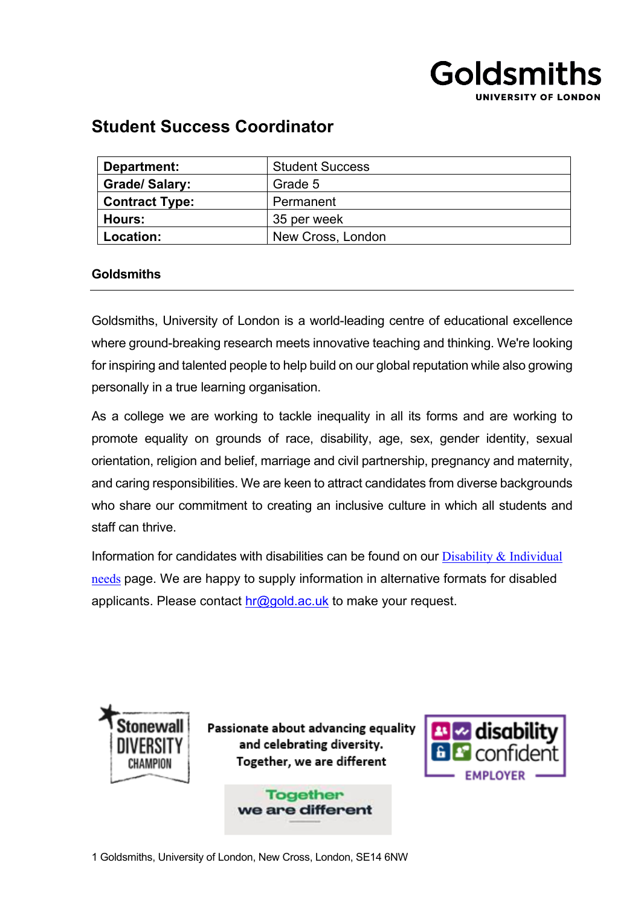

# **Student Success Coordinator**

| Department:           | <b>Student Success</b> |
|-----------------------|------------------------|
| <b>Grade/Salary:</b>  | Grade 5                |
| <b>Contract Type:</b> | Permanent              |
| Hours:                | 35 per week            |
| Location:             | New Cross, London      |

# **Goldsmiths**

Goldsmiths, University of London is a world-leading centre of educational excellence where ground-breaking research meets innovative teaching and thinking. We're looking for inspiring and talented people to help build on our global reputation while also growing personally in a true learning organisation.

As a college we are working to tackle inequality in all its forms and are working to promote equality on grounds of race, disability, age, sex, gender identity, sexual orientation, religion and belief, marriage and civil partnership, pregnancy and maternity, and caring responsibilities. We are keen to attract candidates from diverse backgrounds who share our commitment to creating an inclusive culture in which all students and staff can thrive.

Information for candidates with disabilities can be found on our  $Disability & Individual$ [needs](https://www.gold.ac.uk/working/disability/) page. We are happy to supply information in alternative formats for disabled applicants. Please contact  $hr@gold.ac.uk$  to make your request.



Passionate about advancing equality and celebrating diversity. Together, we are different

> **Together** we are different



1 Goldsmiths, University of London, New Cross, London, SE14 6NW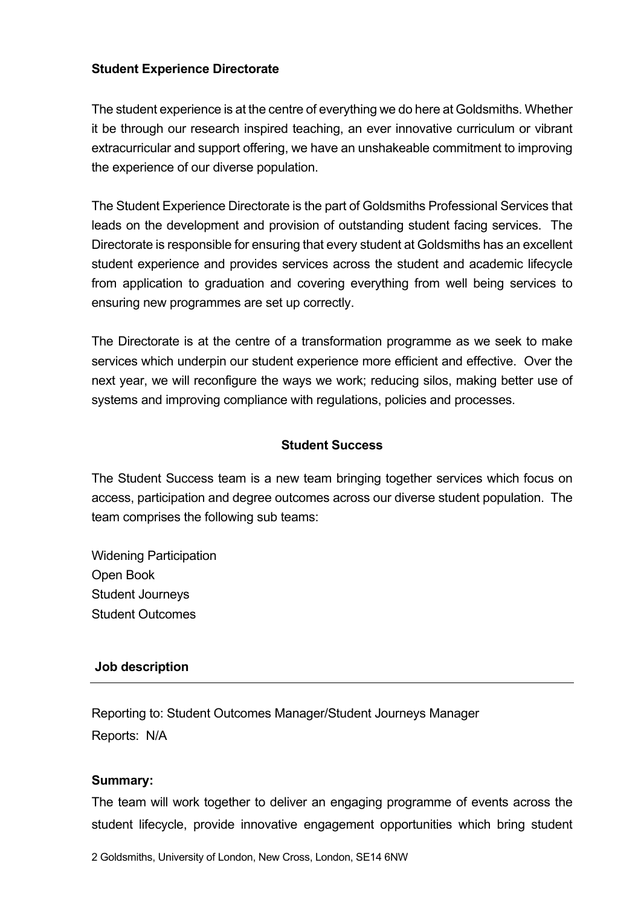# **Student Experience Directorate**

The student experience is at the centre of everything we do here at Goldsmiths. Whether it be through our research inspired teaching, an ever innovative curriculum or vibrant extracurricular and support offering, we have an unshakeable commitment to improving the experience of our diverse population.

The Student Experience Directorate is the part of Goldsmiths Professional Services that leads on the development and provision of outstanding student facing services. The Directorate is responsible for ensuring that every student at Goldsmiths has an excellent student experience and provides services across the student and academic lifecycle from application to graduation and covering everything from well being services to ensuring new programmes are set up correctly.

The Directorate is at the centre of a transformation programme as we seek to make services which underpin our student experience more efficient and effective. Over the next year, we will reconfigure the ways we work; reducing silos, making better use of systems and improving compliance with regulations, policies and processes.

# **Student Success**

The Student Success team is a new team bringing together services which focus on access, participation and degree outcomes across our diverse student population. The team comprises the following sub teams:

Widening Participation Open Book Student Journeys Student Outcomes

## **Job description**

Reporting to: Student Outcomes Manager/Student Journeys Manager Reports: N/A

#### **Summary:**

The team will work together to deliver an engaging programme of events across the student lifecycle, provide innovative engagement opportunities which bring student

2 Goldsmiths, University of London, New Cross, London, SE14 6NW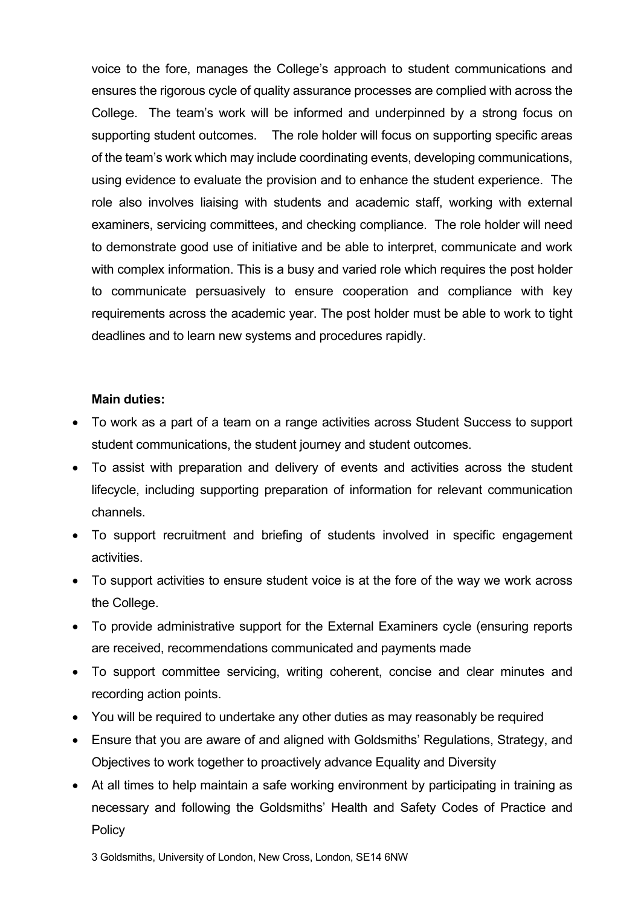voice to the fore, manages the College's approach to student communications and ensures the rigorous cycle of quality assurance processes are complied with across the College. The team's work will be informed and underpinned by a strong focus on supporting student outcomes. The role holder will focus on supporting specific areas of the team's work which may include coordinating events, developing communications, using evidence to evaluate the provision and to enhance the student experience. The role also involves liaising with students and academic staff, working with external examiners, servicing committees, and checking compliance. The role holder will need to demonstrate good use of initiative and be able to interpret, communicate and work with complex information. This is a busy and varied role which requires the post holder to communicate persuasively to ensure cooperation and compliance with key requirements across the academic year. The post holder must be able to work to tight deadlines and to learn new systems and procedures rapidly.

### **Main duties:**

- To work as a part of a team on a range activities across Student Success to support student communications, the student journey and student outcomes.
- To assist with preparation and delivery of events and activities across the student lifecycle, including supporting preparation of information for relevant communication channels.
- To support recruitment and briefing of students involved in specific engagement activities.
- To support activities to ensure student voice is at the fore of the way we work across the College.
- To provide administrative support for the External Examiners cycle (ensuring reports are received, recommendations communicated and payments made
- To support committee servicing, writing coherent, concise and clear minutes and recording action points.
- You will be required to undertake any other duties as may reasonably be required
- Ensure that you are aware of and aligned with Goldsmiths' Regulations, Strategy, and Objectives to work together to proactively advance Equality and Diversity
- At all times to help maintain a safe working environment by participating in training as necessary and following the Goldsmiths' Health and Safety Codes of Practice and **Policy**

3 Goldsmiths, University of London, New Cross, London, SE14 6NW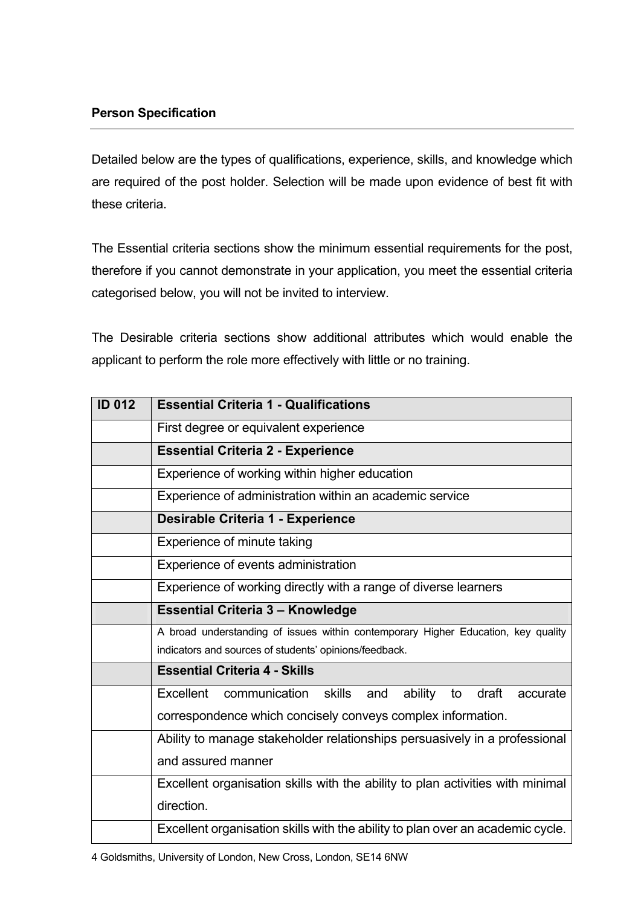Detailed below are the types of qualifications, experience, skills, and knowledge which are required of the post holder. Selection will be made upon evidence of best fit with these criteria.

The Essential criteria sections show the minimum essential requirements for the post, therefore if you cannot demonstrate in your application, you meet the essential criteria categorised below, you will not be invited to interview.

The Desirable criteria sections show additional attributes which would enable the applicant to perform the role more effectively with little or no training.

| <b>ID 012</b> | <b>Essential Criteria 1 - Qualifications</b>                                      |
|---------------|-----------------------------------------------------------------------------------|
|               | First degree or equivalent experience                                             |
|               | <b>Essential Criteria 2 - Experience</b>                                          |
|               | Experience of working within higher education                                     |
|               | Experience of administration within an academic service                           |
|               | <b>Desirable Criteria 1 - Experience</b>                                          |
|               | Experience of minute taking                                                       |
|               | Experience of events administration                                               |
|               | Experience of working directly with a range of diverse learners                   |
|               | <b>Essential Criteria 3 - Knowledge</b>                                           |
|               | A broad understanding of issues within contemporary Higher Education, key quality |
|               | indicators and sources of students' opinions/feedback.                            |
|               | <b>Essential Criteria 4 - Skills</b>                                              |
|               | Excellent<br>communication<br>skills<br>ability<br>and<br>draft<br>accurate<br>to |
|               | correspondence which concisely conveys complex information.                       |
|               | Ability to manage stakeholder relationships persuasively in a professional        |
|               | and assured manner                                                                |
|               | Excellent organisation skills with the ability to plan activities with minimal    |
|               | direction.                                                                        |
|               | Excellent organisation skills with the ability to plan over an academic cycle.    |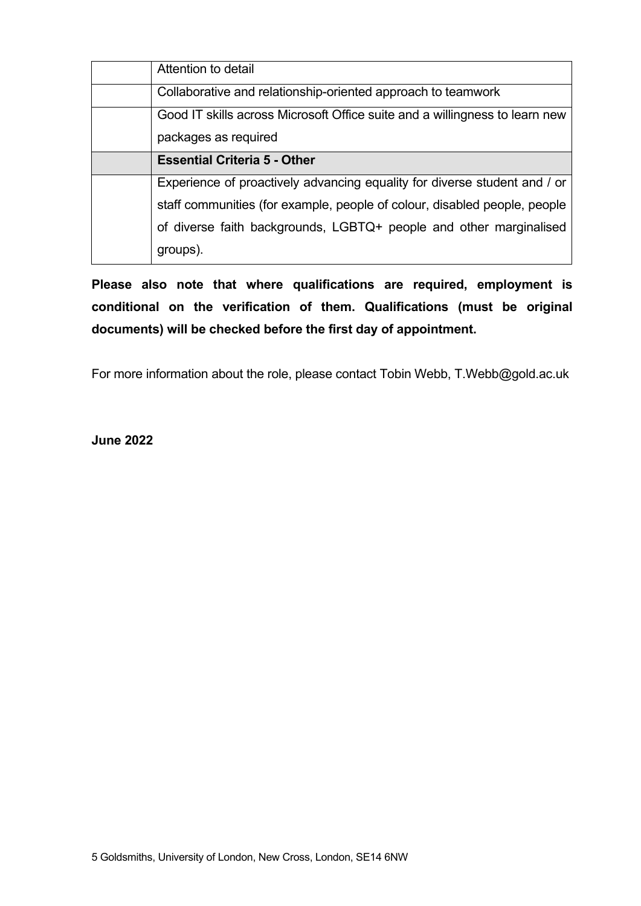| Attention to detail                                                         |
|-----------------------------------------------------------------------------|
| Collaborative and relationship-oriented approach to teamwork                |
| Good IT skills across Microsoft Office suite and a willingness to learn new |
| packages as required                                                        |
| <b>Essential Criteria 5 - Other</b>                                         |
| Experience of proactively advancing equality for diverse student and / or   |
| staff communities (for example, people of colour, disabled people, people   |
| of diverse faith backgrounds, LGBTQ+ people and other marginalised          |
| groups).                                                                    |

**Please also note that where qualifications are required, employment is conditional on the verification of them. Qualifications (must be original documents) will be checked before the first day of appointment.**

For more information about the role, please contact Tobin Webb, T.Webb@gold.ac.uk

**June 2022**